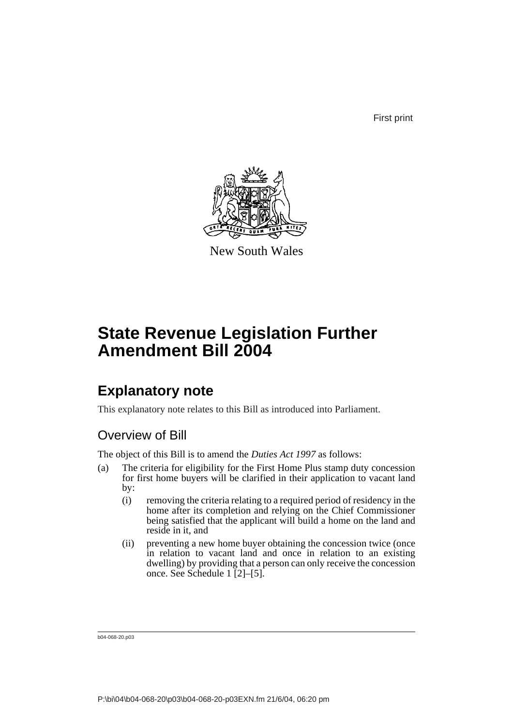First print



New South Wales

# **State Revenue Legislation Further Amendment Bill 2004**

# **Explanatory note**

This explanatory note relates to this Bill as introduced into Parliament.

## Overview of Bill

The object of this Bill is to amend the *Duties Act 1997* as follows:

- (a) The criteria for eligibility for the First Home Plus stamp duty concession for first home buyers will be clarified in their application to vacant land by:
	- (i) removing the criteria relating to a required period of residency in the home after its completion and relying on the Chief Commissioner being satisfied that the applicant will build a home on the land and reside in it, and
	- (ii) preventing a new home buyer obtaining the concession twice (once in relation to vacant land and once in relation to an existing dwelling) by providing that a person can only receive the concession once. See Schedule 1 [2]–[5].

b04-068-20.p03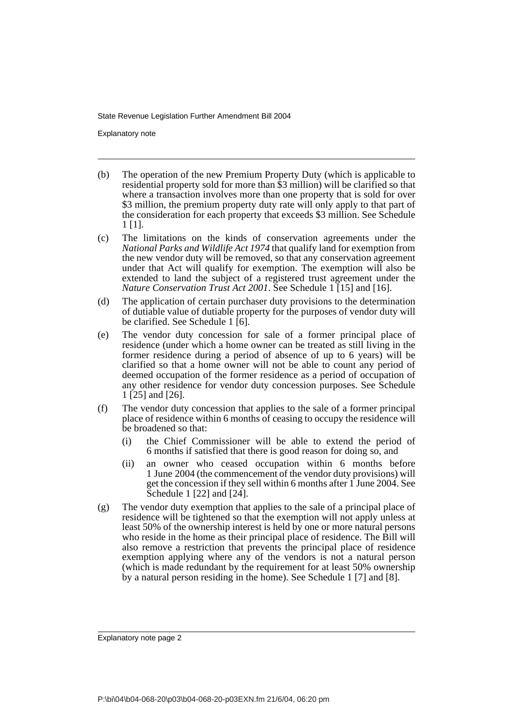Explanatory note

- (b) The operation of the new Premium Property Duty (which is applicable to residential property sold for more than \$3 million) will be clarified so that where a transaction involves more than one property that is sold for over \$3 million, the premium property duty rate will only apply to that part of the consideration for each property that exceeds \$3 million. See Schedule 1 [1].
- (c) The limitations on the kinds of conservation agreements under the *National Parks and Wildlife Act 1974* that qualify land for exemption from the new vendor duty will be removed, so that any conservation agreement under that Act will qualify for exemption. The exemption will also be extended to land the subject of a registered trust agreement under the *Nature Conservation Trust Act 2001*. See Schedule 1 [15] and [16].
- (d) The application of certain purchaser duty provisions to the determination of dutiable value of dutiable property for the purposes of vendor duty will be clarified. See Schedule 1 [6].
- (e) The vendor duty concession for sale of a former principal place of residence (under which a home owner can be treated as still living in the former residence during a period of absence of up to 6 years) will be clarified so that a home owner will not be able to count any period of deemed occupation of the former residence as a period of occupation of any other residence for vendor duty concession purposes. See Schedule 1 [25] and [26].
- (f) The vendor duty concession that applies to the sale of a former principal place of residence within 6 months of ceasing to occupy the residence will be broadened so that:
	- (i) the Chief Commissioner will be able to extend the period of 6 months if satisfied that there is good reason for doing so, and
	- (ii) an owner who ceased occupation within 6 months before 1 June 2004 (the commencement of the vendor duty provisions) will get the concession if they sell within 6 months after 1 June 2004. See Schedule 1 [22] and [24].
- (g) The vendor duty exemption that applies to the sale of a principal place of residence will be tightened so that the exemption will not apply unless at least 50% of the ownership interest is held by one or more natural persons who reside in the home as their principal place of residence. The Bill will also remove a restriction that prevents the principal place of residence exemption applying where any of the vendors is not a natural person (which is made redundant by the requirement for at least 50% ownership by a natural person residing in the home). See Schedule 1 [7] and [8].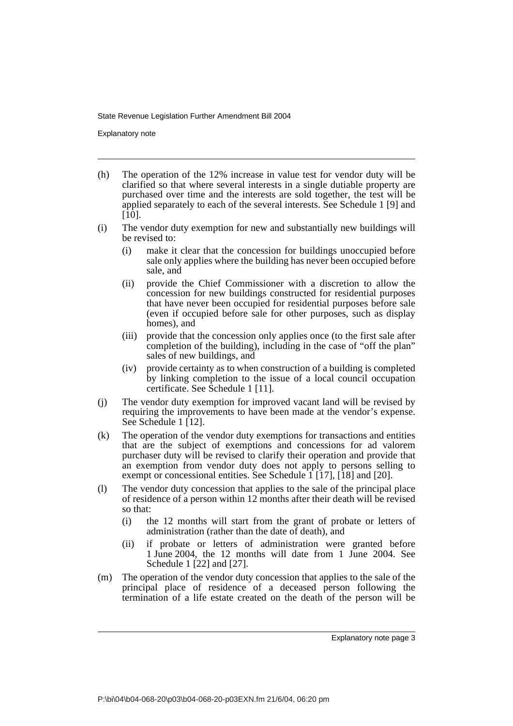Explanatory note

- (h) The operation of the 12% increase in value test for vendor duty will be clarified so that where several interests in a single dutiable property are purchased over time and the interests are sold together, the test will be applied separately to each of the several interests. See Schedule 1 [9] and [10].
- (i) The vendor duty exemption for new and substantially new buildings will be revised to:
	- (i) make it clear that the concession for buildings unoccupied before sale only applies where the building has never been occupied before sale, and
	- (ii) provide the Chief Commissioner with a discretion to allow the concession for new buildings constructed for residential purposes that have never been occupied for residential purposes before sale (even if occupied before sale for other purposes, such as display homes), and
	- (iii) provide that the concession only applies once (to the first sale after completion of the building), including in the case of "off the plan" sales of new buildings, and
	- (iv) provide certainty as to when construction of a building is completed by linking completion to the issue of a local council occupation certificate. See Schedule 1 [11].
- (j) The vendor duty exemption for improved vacant land will be revised by requiring the improvements to have been made at the vendor's expense. See Schedule 1 [12].
- (k) The operation of the vendor duty exemptions for transactions and entities that are the subject of exemptions and concessions for ad valorem purchaser duty will be revised to clarify their operation and provide that an exemption from vendor duty does not apply to persons selling to exempt or concessional entities. See Schedule  $\overline{1}$  [17], [18] and [20].
- (l) The vendor duty concession that applies to the sale of the principal place of residence of a person within 12 months after their death will be revised so that:
	- (i) the 12 months will start from the grant of probate or letters of administration (rather than the date of death), and
	- (ii) if probate or letters of administration were granted before 1 June 2004, the 12 months will date from 1 June 2004. See Schedule 1 [22] and [27].
- (m) The operation of the vendor duty concession that applies to the sale of the principal place of residence of a deceased person following the termination of a life estate created on the death of the person will be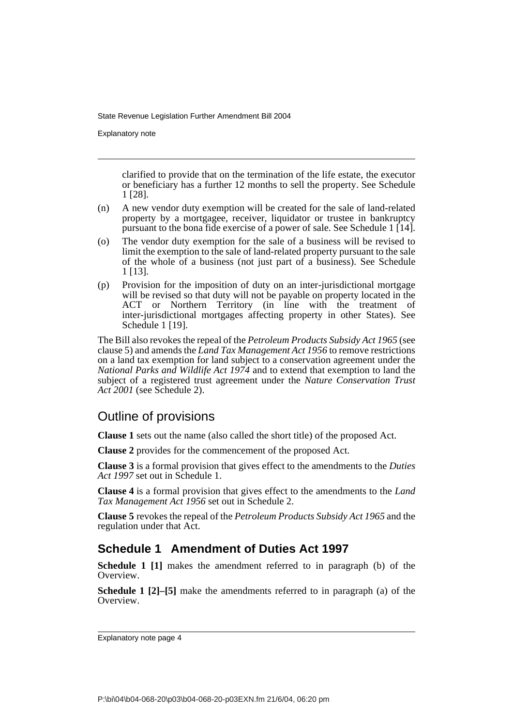Explanatory note

clarified to provide that on the termination of the life estate, the executor or beneficiary has a further 12 months to sell the property. See Schedule 1 [28].

- (n) A new vendor duty exemption will be created for the sale of land-related property by a mortgagee, receiver, liquidator or trustee in bankruptcy pursuant to the bona fide exercise of a power of sale. See Schedule 1 [14].
- (o) The vendor duty exemption for the sale of a business will be revised to limit the exemption to the sale of land-related property pursuant to the sale of the whole of a business (not just part of a business). See Schedule 1 [13].
- (p) Provision for the imposition of duty on an inter-jurisdictional mortgage will be revised so that duty will not be payable on property located in the ACT or Northern Territory (in line with the treatment of inter-jurisdictional mortgages affecting property in other States). See Schedule 1 [19].

The Bill also revokes the repeal of the *Petroleum Products Subsidy Act 1965* (see clause 5) and amends the *Land Tax Management Act 1956* to remove restrictions on a land tax exemption for land subject to a conservation agreement under the *National Parks and Wildlife Act 1974* and to extend that exemption to land the subject of a registered trust agreement under the *Nature Conservation Trust Act 2001* (see Schedule 2).

## Outline of provisions

**Clause 1** sets out the name (also called the short title) of the proposed Act.

**Clause 2** provides for the commencement of the proposed Act.

**Clause 3** is a formal provision that gives effect to the amendments to the *Duties Act 1997* set out in Schedule 1.

**Clause 4** is a formal provision that gives effect to the amendments to the *Land Tax Management Act 1956* set out in Schedule 2.

**Clause 5** revokes the repeal of the *Petroleum Products Subsidy Act 1965* and the regulation under that Act.

## **Schedule 1 Amendment of Duties Act 1997**

**Schedule 1 [1]** makes the amendment referred to in paragraph (b) of the Overview.

**Schedule 1 [2]–[5]** make the amendments referred to in paragraph (a) of the Overview.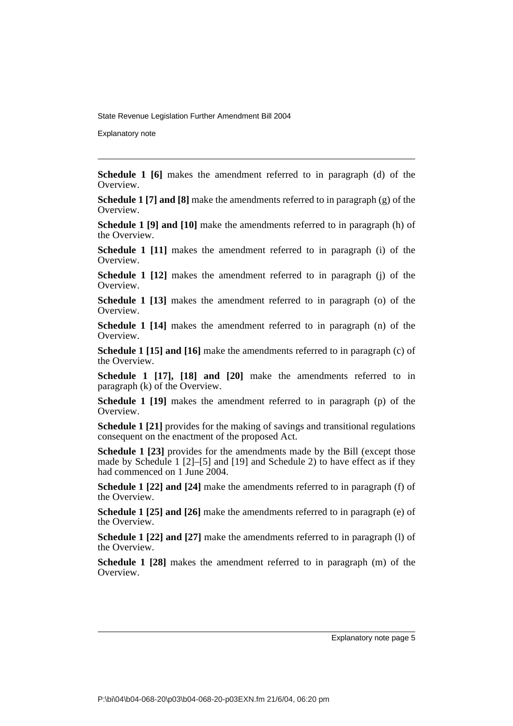Explanatory note

**Schedule 1 [6]** makes the amendment referred to in paragraph (d) of the Overview.

**Schedule 1 [7] and [8]** make the amendments referred to in paragraph (g) of the Overview.

**Schedule 1 [9] and [10]** make the amendments referred to in paragraph (h) of the Overview.

**Schedule 1 [11]** makes the amendment referred to in paragraph (i) of the Overview.

**Schedule 1 [12]** makes the amendment referred to in paragraph (j) of the Overview.

**Schedule 1 [13]** makes the amendment referred to in paragraph (o) of the Overview.

**Schedule 1 [14]** makes the amendment referred to in paragraph (n) of the Overview.

**Schedule 1 [15] and [16]** make the amendments referred to in paragraph (c) of the Overview.

**Schedule 1 [17], [18] and [20]** make the amendments referred to in paragraph (k) of the Overview.

**Schedule 1 [19]** makes the amendment referred to in paragraph (p) of the Overview.

**Schedule 1 [21]** provides for the making of savings and transitional regulations consequent on the enactment of the proposed Act.

**Schedule 1 [23]** provides for the amendments made by the Bill (except those made by Schedule 1 [2]–[5] and [19] and Schedule 2) to have effect as if they had commenced on 1 June 2004.

**Schedule 1 [22] and [24]** make the amendments referred to in paragraph (f) of the Overview.

**Schedule 1 [25] and [26]** make the amendments referred to in paragraph (e) of the Overview.

**Schedule 1 [22] and [27]** make the amendments referred to in paragraph (1) of the Overview.

**Schedule 1 [28]** makes the amendment referred to in paragraph (m) of the Overview.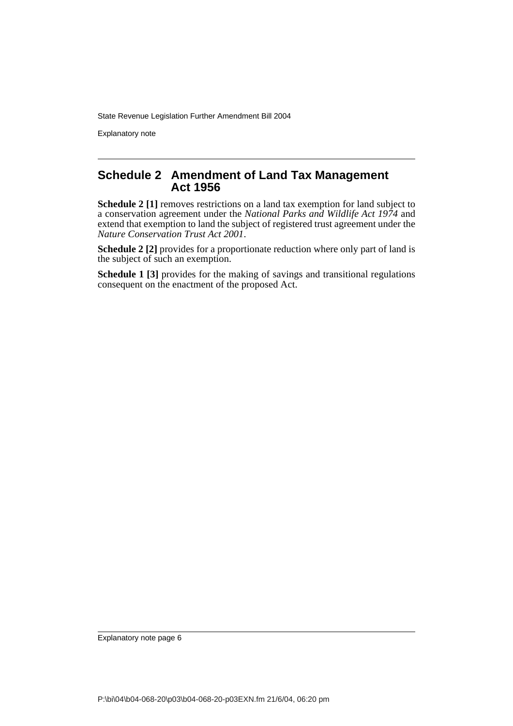Explanatory note

## **Schedule 2 Amendment of Land Tax Management Act 1956**

**Schedule 2 [1]** removes restrictions on a land tax exemption for land subject to a conservation agreement under the *National Parks and Wildlife Act 1974* and extend that exemption to land the subject of registered trust agreement under the *Nature Conservation Trust Act 2001*.

**Schedule 2 [2]** provides for a proportionate reduction where only part of land is the subject of such an exemption.

**Schedule 1 [3]** provides for the making of savings and transitional regulations consequent on the enactment of the proposed Act.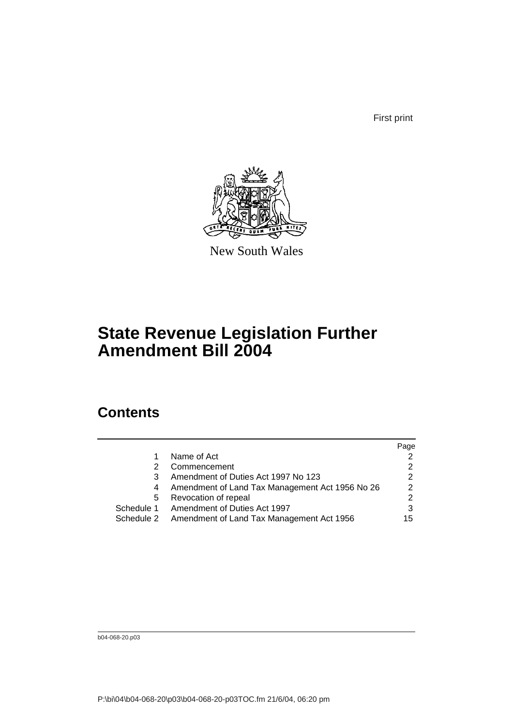First print



New South Wales

# **State Revenue Legislation Further Amendment Bill 2004**

# **Contents**

|             |                                                      | Page          |
|-------------|------------------------------------------------------|---------------|
|             | Name of Act                                          |               |
|             | Commencement                                         |               |
|             | Amendment of Duties Act 1997 No 123                  |               |
| 4           | Amendment of Land Tax Management Act 1956 No 26      | $\mathcal{P}$ |
| $\mathbf b$ | Revocation of repeal                                 |               |
|             | Schedule 1 Amendment of Duties Act 1997              | 3             |
|             | Schedule 2 Amendment of Land Tax Management Act 1956 | 15            |
|             |                                                      |               |

b04-068-20.p03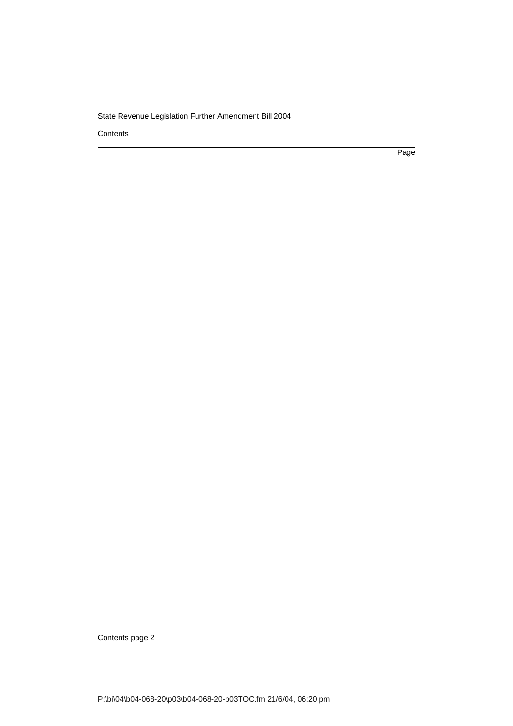**Contents** 

Page

Contents page 2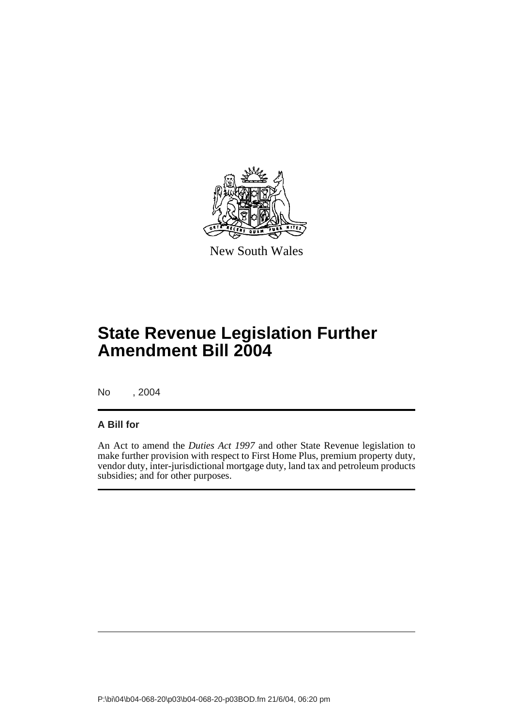

New South Wales

# **State Revenue Legislation Further Amendment Bill 2004**

No , 2004

## **A Bill for**

An Act to amend the *Duties Act 1997* and other State Revenue legislation to make further provision with respect to First Home Plus, premium property duty, vendor duty, inter-jurisdictional mortgage duty, land tax and petroleum products subsidies; and for other purposes.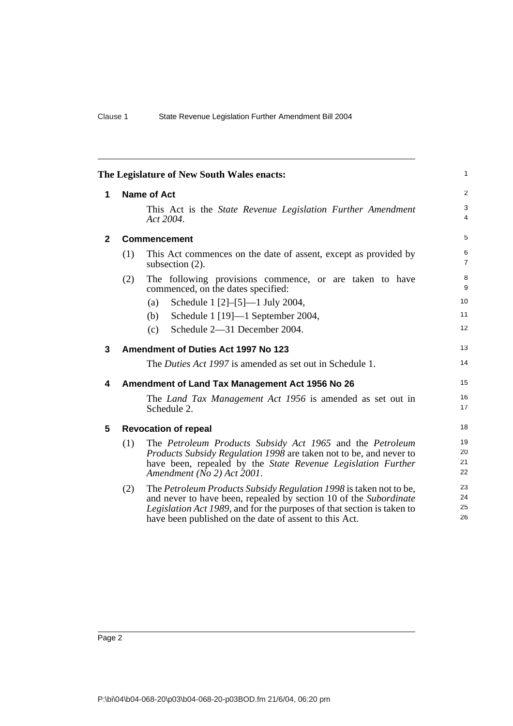<span id="page-9-4"></span><span id="page-9-3"></span><span id="page-9-2"></span><span id="page-9-1"></span><span id="page-9-0"></span>

|              | The Legislature of New South Wales enacts:                                                            |                                                                                                                                                                                                                                                                             |                      |  |  |
|--------------|-------------------------------------------------------------------------------------------------------|-----------------------------------------------------------------------------------------------------------------------------------------------------------------------------------------------------------------------------------------------------------------------------|----------------------|--|--|
| 1            | <b>Name of Act</b><br>This Act is the <i>State Revenue Legislation Further Amendment</i><br>Act 2004. |                                                                                                                                                                                                                                                                             |                      |  |  |
|              |                                                                                                       |                                                                                                                                                                                                                                                                             |                      |  |  |
| $\mathbf{2}$ |                                                                                                       | <b>Commencement</b>                                                                                                                                                                                                                                                         | 5                    |  |  |
|              | (1)                                                                                                   | This Act commences on the date of assent, except as provided by<br>subsection $(2)$ .                                                                                                                                                                                       | 6<br>$\overline{7}$  |  |  |
|              | (2)                                                                                                   | The following provisions commence, or are taken to have<br>commenced, on the dates specified:                                                                                                                                                                               | 8<br>9               |  |  |
|              |                                                                                                       | Schedule 1 [2]–[5]—1 July 2004,<br>(a)                                                                                                                                                                                                                                      | 10                   |  |  |
|              |                                                                                                       | Schedule 1 [19]—1 September 2004,<br>(b)                                                                                                                                                                                                                                    | 11                   |  |  |
|              |                                                                                                       | Schedule 2-31 December 2004.<br>(c)                                                                                                                                                                                                                                         | 12                   |  |  |
| 3            |                                                                                                       | Amendment of Duties Act 1997 No 123                                                                                                                                                                                                                                         | 13                   |  |  |
|              |                                                                                                       | The <i>Duties Act 1997</i> is amended as set out in Schedule 1.                                                                                                                                                                                                             | 14                   |  |  |
| 4            |                                                                                                       | Amendment of Land Tax Management Act 1956 No 26                                                                                                                                                                                                                             | 15                   |  |  |
|              |                                                                                                       | The <i>Land Tax Management Act 1956</i> is amended as set out in<br>Schedule 2.                                                                                                                                                                                             | 16<br>17             |  |  |
| 5            |                                                                                                       | <b>Revocation of repeal</b>                                                                                                                                                                                                                                                 | 18                   |  |  |
|              | (1)                                                                                                   | The Petroleum Products Subsidy Act 1965 and the Petroleum<br>Products Subsidy Regulation 1998 are taken not to be, and never to<br>have been, repealed by the State Revenue Legislation Further<br>Amendment (No 2) Act 2001.                                               | 19<br>20<br>21<br>22 |  |  |
|              | (2)                                                                                                   | The Petroleum Products Subsidy Regulation 1998 is taken not to be,<br>and never to have been, repealed by section 10 of the Subordinate<br>Legislation Act 1989, and for the purposes of that section is taken to<br>have been published on the date of assent to this Act. | 23<br>24<br>25<br>26 |  |  |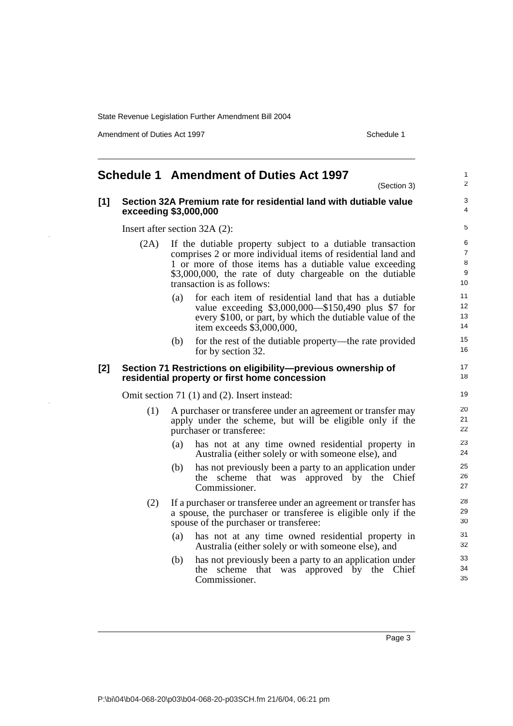Amendment of Duties Act 1997 Schedule 1

 $\ddot{\phantom{0}}$ 

<span id="page-10-0"></span>

|     |                                              | <b>Schedule 1 Amendment of Duties Act 1997</b><br>(Section 3)                                                                                                                                                                                                                   | 1<br>$\overline{2}$                 |  |
|-----|----------------------------------------------|---------------------------------------------------------------------------------------------------------------------------------------------------------------------------------------------------------------------------------------------------------------------------------|-------------------------------------|--|
| [1] |                                              | Section 32A Premium rate for residential land with dutiable value<br>exceeding \$3,000,000                                                                                                                                                                                      | 3<br>4                              |  |
|     |                                              | Insert after section $32A(2)$ :                                                                                                                                                                                                                                                 | 5                                   |  |
|     | (2A)                                         | If the dutiable property subject to a dutiable transaction<br>comprises 2 or more individual items of residential land and<br>1 or more of those items has a dutiable value exceeding<br>\$3,000,000, the rate of duty chargeable on the dutiable<br>transaction is as follows: | 6<br>$\overline{7}$<br>8<br>9<br>10 |  |
|     |                                              | for each item of residential land that has a dutiable<br>(a)<br>value exceeding \$3,000,000 - \$150,490 plus \$7 for<br>every \$100, or part, by which the dutiable value of the<br>item exceeds \$3,000,000,                                                                   | 11<br>12<br>13<br>14                |  |
|     |                                              | for the rest of the dutiable property—the rate provided<br>(b)<br>for by section 32.                                                                                                                                                                                            | 15<br>16                            |  |
| [2] |                                              | Section 71 Restrictions on eligibility-previous ownership of<br>residential property or first home concession                                                                                                                                                                   | 17<br>18                            |  |
|     | Omit section 71 (1) and (2). Insert instead: |                                                                                                                                                                                                                                                                                 |                                     |  |
|     | (1)                                          | A purchaser or transferee under an agreement or transfer may<br>apply under the scheme, but will be eligible only if the<br>purchaser or transferee:                                                                                                                            | 20<br>21<br>22                      |  |
|     |                                              | has not at any time owned residential property in<br>(a)<br>Australia (either solely or with someone else), and                                                                                                                                                                 | 23<br>24                            |  |
|     |                                              | has not previously been a party to an application under<br>(b)<br>the scheme that was approved by the<br>Chief<br>Commissioner.                                                                                                                                                 | 25<br>26<br>27                      |  |
|     | (2)                                          | If a purchaser or transferee under an agreement or transfer has<br>a spouse, the purchaser or transferee is eligible only if the<br>spouse of the purchaser or transferee:                                                                                                      | 28<br>29<br>30                      |  |
|     |                                              | has not at any time owned residential property in<br>(a)<br>Australia (either solely or with someone else), and                                                                                                                                                                 | 31<br>32                            |  |
|     |                                              | has not previously been a party to an application under<br>(b)<br>the scheme that was approved by the Chief<br>Commissioner.                                                                                                                                                    | 33<br>34<br>35                      |  |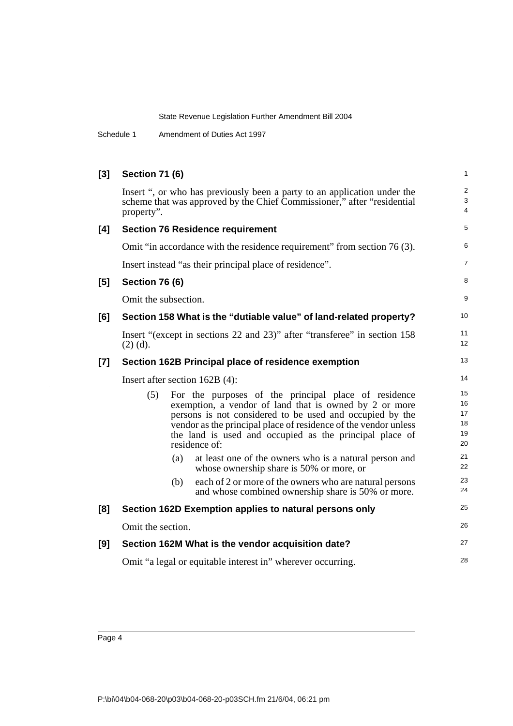| [3]   | <b>Section 71 (6)</b>                                                                                                                                                                                                                                                                                                            |                                         |  |  |  |
|-------|----------------------------------------------------------------------------------------------------------------------------------------------------------------------------------------------------------------------------------------------------------------------------------------------------------------------------------|-----------------------------------------|--|--|--|
|       | Insert ", or who has previously been a party to an application under the<br>scheme that was approved by the Chief Commissioner," after "residential"<br>property".                                                                                                                                                               | $\boldsymbol{2}$<br>3<br>$\overline{4}$ |  |  |  |
| [4]   | <b>Section 76 Residence requirement</b>                                                                                                                                                                                                                                                                                          | $\,$ 5 $\,$                             |  |  |  |
|       | Omit "in accordance with the residence requirement" from section 76 (3).                                                                                                                                                                                                                                                         | 6                                       |  |  |  |
|       | Insert instead "as their principal place of residence".                                                                                                                                                                                                                                                                          | $\overline{7}$                          |  |  |  |
| [5]   | <b>Section 76 (6)</b>                                                                                                                                                                                                                                                                                                            | 8                                       |  |  |  |
|       | Omit the subsection.                                                                                                                                                                                                                                                                                                             | 9                                       |  |  |  |
| [6]   | Section 158 What is the "dutiable value" of land-related property?                                                                                                                                                                                                                                                               | 10                                      |  |  |  |
|       | Insert "(except in sections 22 and 23)" after "transferee" in section 158<br>$(2)$ (d).                                                                                                                                                                                                                                          | 11<br>12                                |  |  |  |
| $[7]$ | Section 162B Principal place of residence exemption                                                                                                                                                                                                                                                                              | 13                                      |  |  |  |
|       | Insert after section $162B(4)$ :                                                                                                                                                                                                                                                                                                 |                                         |  |  |  |
|       | (5)<br>For the purposes of the principal place of residence<br>exemption, a vendor of land that is owned by 2 or more<br>persons is not considered to be used and occupied by the<br>vendor as the principal place of residence of the vendor unless<br>the land is used and occupied as the principal place of<br>residence of: | 15<br>16<br>$17$<br>18<br>19<br>20      |  |  |  |
|       | at least one of the owners who is a natural person and<br>(a)<br>whose ownership share is 50% or more, or                                                                                                                                                                                                                        | 21<br>22                                |  |  |  |
|       | (b)<br>each of 2 or more of the owners who are natural persons<br>and whose combined ownership share is 50% or more.                                                                                                                                                                                                             | 23<br>24                                |  |  |  |
| [8]   | Section 162D Exemption applies to natural persons only                                                                                                                                                                                                                                                                           | 25                                      |  |  |  |
|       | Omit the section.                                                                                                                                                                                                                                                                                                                | 26                                      |  |  |  |
| [9]   | Section 162M What is the vendor acquisition date?                                                                                                                                                                                                                                                                                | 27                                      |  |  |  |
|       | Omit "a legal or equitable interest in" wherever occurring.                                                                                                                                                                                                                                                                      |                                         |  |  |  |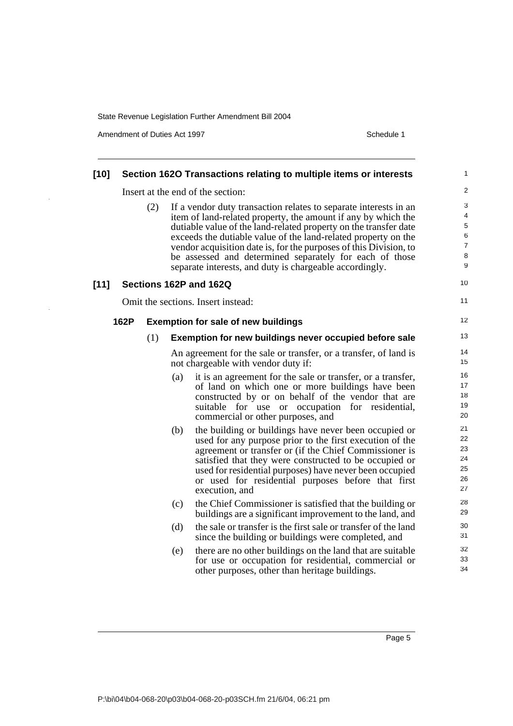Amendment of Duties Act 1997 Schedule 1

 $\hat{\mathcal{A}}$ 

| $[10]$ | Section 1620 Transactions relating to multiple items or interests |     |     |                                                                                                                                                                                                                                                                                                                                                                                                                                                                    |                                                   |
|--------|-------------------------------------------------------------------|-----|-----|--------------------------------------------------------------------------------------------------------------------------------------------------------------------------------------------------------------------------------------------------------------------------------------------------------------------------------------------------------------------------------------------------------------------------------------------------------------------|---------------------------------------------------|
|        |                                                                   |     |     | Insert at the end of the section:                                                                                                                                                                                                                                                                                                                                                                                                                                  | 2                                                 |
|        |                                                                   | (2) |     | If a vendor duty transaction relates to separate interests in an<br>item of land-related property, the amount if any by which the<br>dutiable value of the land-related property on the transfer date<br>exceeds the dutiable value of the land-related property on the<br>vendor acquisition date is, for the purposes of this Division, to<br>be assessed and determined separately for each of those<br>separate interests, and duty is chargeable accordingly. | 3<br>4<br>5<br>6<br>$\overline{7}$<br>$\bf8$<br>9 |
| $[11]$ |                                                                   |     |     | Sections 162P and 162Q                                                                                                                                                                                                                                                                                                                                                                                                                                             | 10                                                |
|        |                                                                   |     |     | Omit the sections. Insert instead:                                                                                                                                                                                                                                                                                                                                                                                                                                 | 11                                                |
|        | 162P                                                              |     |     | <b>Exemption for sale of new buildings</b>                                                                                                                                                                                                                                                                                                                                                                                                                         | 12                                                |
|        |                                                                   | (1) |     | Exemption for new buildings never occupied before sale                                                                                                                                                                                                                                                                                                                                                                                                             | 13                                                |
|        |                                                                   |     |     | An agreement for the sale or transfer, or a transfer, of land is<br>not chargeable with vendor duty if:                                                                                                                                                                                                                                                                                                                                                            | 14<br>15                                          |
|        |                                                                   |     | (a) | it is an agreement for the sale or transfer, or a transfer,<br>of land on which one or more buildings have been<br>constructed by or on behalf of the vendor that are<br>suitable for use or occupation for residential,<br>commercial or other purposes, and                                                                                                                                                                                                      | 16<br>17<br>18<br>19<br>20                        |
|        |                                                                   |     | (b) | the building or buildings have never been occupied or<br>used for any purpose prior to the first execution of the<br>agreement or transfer or (if the Chief Commissioner is<br>satisfied that they were constructed to be occupied or<br>used for residential purposes) have never been occupied<br>or used for residential purposes before that first<br>execution, and                                                                                           | 21<br>22<br>23<br>24<br>25<br>26<br>27            |
|        |                                                                   |     | (c) | the Chief Commissioner is satisfied that the building or<br>buildings are a significant improvement to the land, and                                                                                                                                                                                                                                                                                                                                               | 28<br>29                                          |
|        |                                                                   |     | (d) | the sale or transfer is the first sale or transfer of the land<br>since the building or buildings were completed, and                                                                                                                                                                                                                                                                                                                                              | 30<br>31                                          |
|        |                                                                   |     | (e) | there are no other buildings on the land that are suitable<br>for use or occupation for residential, commercial or<br>other purposes, other than heritage buildings.                                                                                                                                                                                                                                                                                               | 32<br>33<br>34                                    |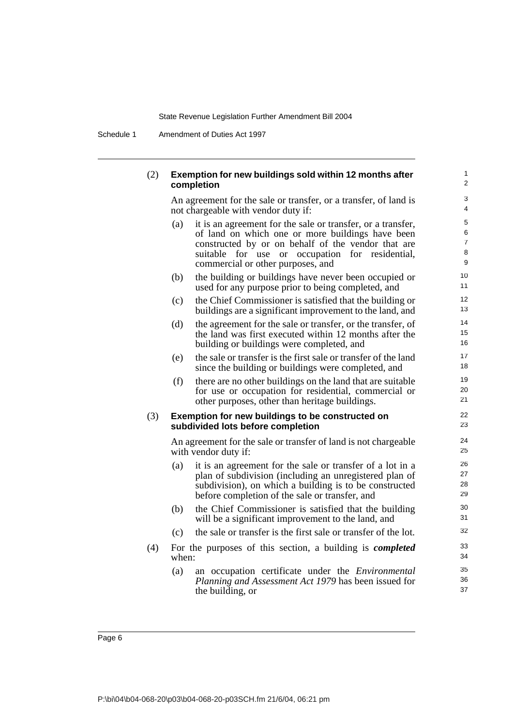Schedule 1 Amendment of Duties Act 1997

| (2) | Exemption for new buildings sold within 12 months after<br>completion                                                                                                                                                                                                   |  |
|-----|-------------------------------------------------------------------------------------------------------------------------------------------------------------------------------------------------------------------------------------------------------------------------|--|
|     | An agreement for the sale or transfer, or a transfer, of land is<br>not chargeable with vendor duty if:                                                                                                                                                                 |  |
|     | it is an agreement for the sale or transfer, or a transfer,<br>(a)<br>of land on which one or more buildings have been<br>constructed by or on behalf of the vendor that are<br>suitable for use<br>or occupation for residential,<br>commercial or other purposes, and |  |
|     | the building or buildings have never been occupied or<br>(b)<br>used for any purpose prior to being completed, and                                                                                                                                                      |  |
|     | the Chief Commissioner is satisfied that the building or<br>(c)<br>buildings are a significant improvement to the land, and                                                                                                                                             |  |
|     | the agreement for the sale or transfer, or the transfer, of<br>(d)<br>the land was first executed within 12 months after the<br>building or buildings were completed, and                                                                                               |  |
|     | the sale or transfer is the first sale or transfer of the land<br>(e)<br>since the building or buildings were completed, and                                                                                                                                            |  |
|     | (f)<br>there are no other buildings on the land that are suitable<br>for use or occupation for residential, commercial or<br>other purposes, other than heritage buildings.                                                                                             |  |
| (3) | Exemption for new buildings to be constructed on<br>subdivided lots before completion                                                                                                                                                                                   |  |
|     | An agreement for the sale or transfer of land is not chargeable<br>with vendor duty if:                                                                                                                                                                                 |  |
|     | it is an agreement for the sale or transfer of a lot in a<br>(a)<br>plan of subdivision (including an unregistered plan of<br>subdivision), on which a building is to be constructed<br>before completion of the sale or transfer, and                                  |  |
|     | the Chief Commissioner is satisfied that the building<br>(b)<br>will be a significant improvement to the land, and                                                                                                                                                      |  |
|     | the sale or transfer is the first sale or transfer of the lot.<br>(c)                                                                                                                                                                                                   |  |
| (4) | For the purposes of this section, a building is <i>completed</i><br>when:                                                                                                                                                                                               |  |
|     | an occupation certificate under the Environmental<br>(a)<br>Planning and Assessment Act 1979 has been issued for<br>the building, or                                                                                                                                    |  |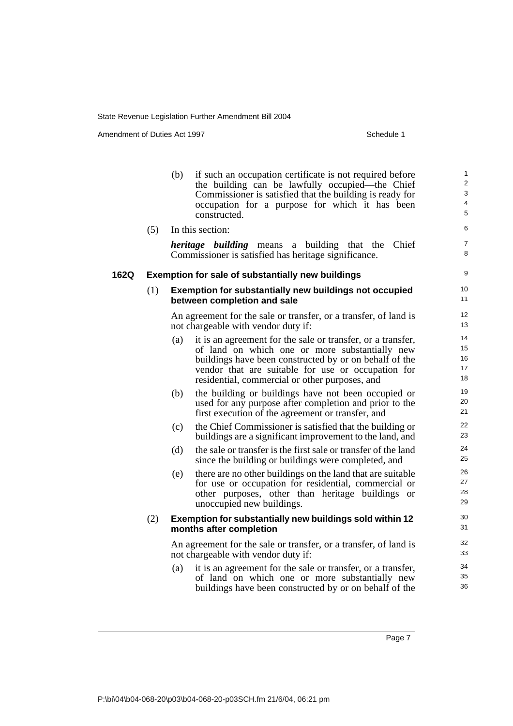Amendment of Duties Act 1997 **Schedule 1** Schedule 1

|      |     | (b)<br>if such an occupation certificate is not required before<br>the building can be lawfully occupied—the Chief<br>Commissioner is satisfied that the building is ready for<br>occupation for a purpose for which it has been<br>constructed.                                       | $\mathbf{1}$<br>2<br>3<br>$\overline{4}$<br>5 |
|------|-----|----------------------------------------------------------------------------------------------------------------------------------------------------------------------------------------------------------------------------------------------------------------------------------------|-----------------------------------------------|
|      | (5) | In this section:                                                                                                                                                                                                                                                                       | 6                                             |
|      |     | Chief<br><i>heritage building</i> means a building that the<br>Commissioner is satisfied has heritage significance.                                                                                                                                                                    | $\overline{7}$<br>8                           |
| 162Q |     | <b>Exemption for sale of substantially new buildings</b>                                                                                                                                                                                                                               | 9                                             |
|      | (1) | <b>Exemption for substantially new buildings not occupied</b><br>between completion and sale                                                                                                                                                                                           | 10<br>11                                      |
|      |     | An agreement for the sale or transfer, or a transfer, of land is<br>not chargeable with vendor duty if:                                                                                                                                                                                | 12<br>13                                      |
|      |     | it is an agreement for the sale or transfer, or a transfer,<br>(a)<br>of land on which one or more substantially new<br>buildings have been constructed by or on behalf of the<br>vendor that are suitable for use or occupation for<br>residential, commercial or other purposes, and | 14<br>15<br>16<br>17<br>18                    |
|      |     | (b)<br>the building or buildings have not been occupied or<br>used for any purpose after completion and prior to the<br>first execution of the agreement or transfer, and                                                                                                              | 19<br>20<br>21                                |
|      |     | the Chief Commissioner is satisfied that the building or<br>(c)<br>buildings are a significant improvement to the land, and                                                                                                                                                            | 22<br>23                                      |
|      |     | the sale or transfer is the first sale or transfer of the land<br>(d)<br>since the building or buildings were completed, and                                                                                                                                                           | 24<br>25                                      |
|      |     | there are no other buildings on the land that are suitable<br>(e)<br>for use or occupation for residential, commercial or<br>other purposes, other than heritage buildings or<br>unoccupied new buildings.                                                                             | 26<br>27<br>28<br>29                          |
|      | (2) | Exemption for substantially new buildings sold within 12<br>months after completion                                                                                                                                                                                                    | 30<br>31                                      |
|      |     | An agreement for the sale or transfer, or a transfer, of land is<br>not chargeable with vendor duty if:                                                                                                                                                                                | 32<br>33                                      |
|      |     | it is an agreement for the sale or transfer, or a transfer,<br>(a)<br>of land on which one or more substantially new<br>buildings have been constructed by or on behalf of the                                                                                                         | 34<br>35<br>36                                |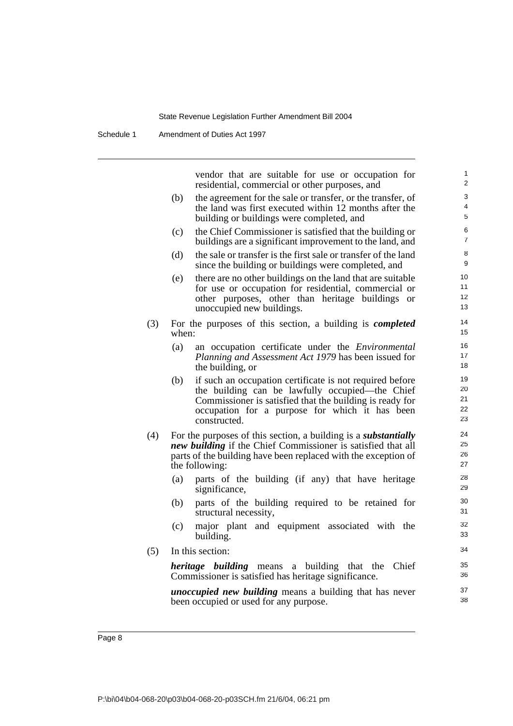vendor that are suitable for use or occupation for residential, commercial or other purposes, and (b) the agreement for the sale or transfer, or the transfer, of the land was first executed within 12 months after the building or buildings were completed, and (c) the Chief Commissioner is satisfied that the building or buildings are a significant improvement to the land, and (d) the sale or transfer is the first sale or transfer of the land since the building or buildings were completed, and (e) there are no other buildings on the land that are suitable for use or occupation for residential, commercial or other purposes, other than heritage buildings or unoccupied new buildings. (3) For the purposes of this section, a building is *completed* when: (a) an occupation certificate under the *Environmental Planning and Assessment Act 1979* has been issued for the building, or (b) if such an occupation certificate is not required before the building can be lawfully occupied—the Chief Commissioner is satisfied that the building is ready for occupation for a purpose for which it has been constructed. (4) For the purposes of this section, a building is a *substantially new building* if the Chief Commissioner is satisfied that all parts of the building have been replaced with the exception of the following: (a) parts of the building (if any) that have heritage significance, (b) parts of the building required to be retained for structural necessity, (c) major plant and equipment associated with the building. (5) In this section: *heritage building* means a building that the Chief Commissioner is satisfied has heritage significance. *unoccupied new building* means a building that has never been occupied or used for any purpose. 1  $\overline{2}$ 3 4 5 6 7 8 9 10 11 12 13 14 15 16 17 18 19 20 21 22 23 24 25 26 27 28 29 30 31 32 33 34 35 36 37 38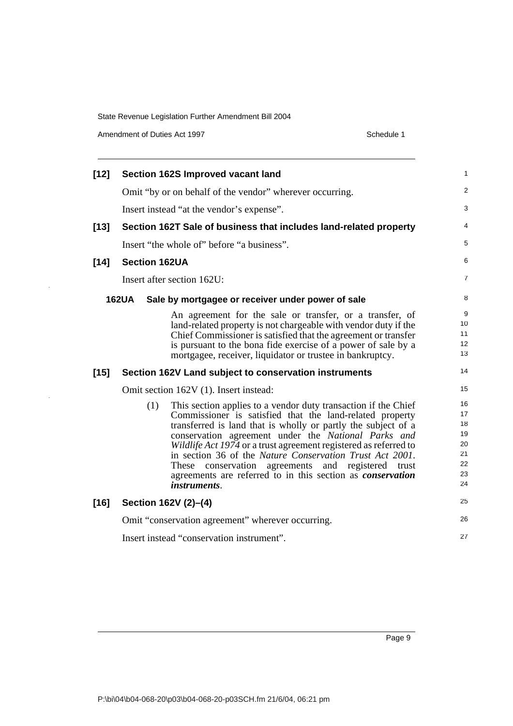Amendment of Duties Act 1997 Schedule 1

 $\overline{\phantom{a}}$ 

l,

| $[12]$ |                            | Section 162S Improved vacant land                                                                                                                                                                                                                                                                                                                                                                                                                                                                                                       | 1                                                  |
|--------|----------------------------|-----------------------------------------------------------------------------------------------------------------------------------------------------------------------------------------------------------------------------------------------------------------------------------------------------------------------------------------------------------------------------------------------------------------------------------------------------------------------------------------------------------------------------------------|----------------------------------------------------|
|        |                            | Omit "by or on behalf of the vendor" wherever occurring.                                                                                                                                                                                                                                                                                                                                                                                                                                                                                | 2                                                  |
|        |                            | Insert instead "at the vendor's expense".                                                                                                                                                                                                                                                                                                                                                                                                                                                                                               | 3                                                  |
| $[13]$ |                            | Section 162T Sale of business that includes land-related property                                                                                                                                                                                                                                                                                                                                                                                                                                                                       | 4                                                  |
|        |                            | Insert "the whole of" before "a business".                                                                                                                                                                                                                                                                                                                                                                                                                                                                                              | 5                                                  |
| $[14]$ | <b>Section 162UA</b>       |                                                                                                                                                                                                                                                                                                                                                                                                                                                                                                                                         | 6                                                  |
|        | Insert after section 162U: |                                                                                                                                                                                                                                                                                                                                                                                                                                                                                                                                         | 7                                                  |
|        | <b>162UA</b>               | Sale by mortgagee or receiver under power of sale                                                                                                                                                                                                                                                                                                                                                                                                                                                                                       | 8                                                  |
|        |                            | An agreement for the sale or transfer, or a transfer, of<br>land-related property is not chargeable with vendor duty if the<br>Chief Commissioner is satisfied that the agreement or transfer<br>is pursuant to the bona fide exercise of a power of sale by a<br>mortgagee, receiver, liquidator or trustee in bankruptcy.                                                                                                                                                                                                             | 9<br>10<br>11<br>12<br>13                          |
| $[15]$ |                            | Section 162V Land subject to conservation instruments                                                                                                                                                                                                                                                                                                                                                                                                                                                                                   | 14                                                 |
|        |                            | Omit section 162V (1). Insert instead:                                                                                                                                                                                                                                                                                                                                                                                                                                                                                                  | 15                                                 |
|        | (1)                        | This section applies to a vendor duty transaction if the Chief<br>Commissioner is satisfied that the land-related property<br>transferred is land that is wholly or partly the subject of a<br>conservation agreement under the National Parks and<br>Wildlife Act 1974 or a trust agreement registered as referred to<br>in section 36 of the Nature Conservation Trust Act 2001.<br>These conservation agreements and registered<br>trust<br>agreements are referred to in this section as <i>conservation</i><br><i>instruments.</i> | 16<br>17<br>18<br>19<br>20<br>21<br>22<br>23<br>24 |
| $[16]$ | Section 162V (2)-(4)       |                                                                                                                                                                                                                                                                                                                                                                                                                                                                                                                                         | 25                                                 |
|        |                            | Omit "conservation agreement" wherever occurring.                                                                                                                                                                                                                                                                                                                                                                                                                                                                                       | 26                                                 |
|        |                            | Insert instead "conservation instrument".                                                                                                                                                                                                                                                                                                                                                                                                                                                                                               | 27                                                 |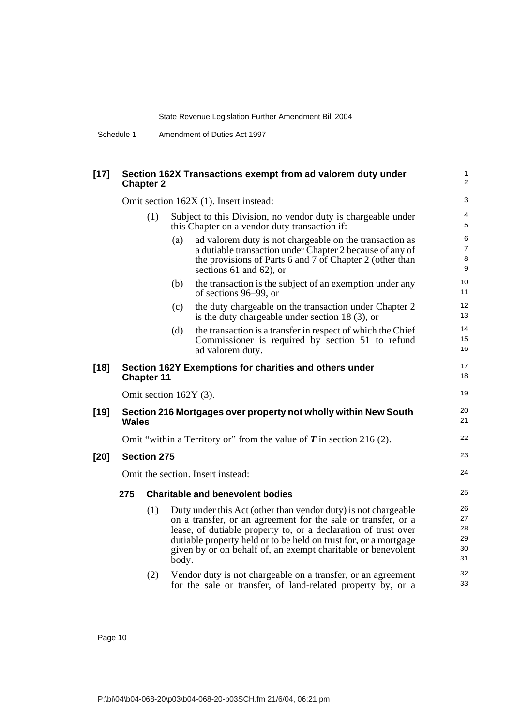Schedule 1 Amendment of Duties Act 1997

#### **[17] Section 162X Transactions exempt from ad valorem duty under Chapter 2**

Omit section 162X (1). Insert instead:

| (1) | Subject to this Division, no vendor duty is chargeable under |  |
|-----|--------------------------------------------------------------|--|
|     | this Chapter on a vendor duty transaction if:                |  |
|     | ad valorem duty is not chargeable on the transaction as      |  |

1 2

24

|        |                          | ad valorem day to not enargement on the transaction as<br>a dutiable transaction under Chapter 2 because of any of<br>the provisions of Parts 6 and 7 of Chapter 2 (other than<br>sections 61 and 62), or | $\overline{7}$<br>8<br>9 |
|--------|--------------------------|-----------------------------------------------------------------------------------------------------------------------------------------------------------------------------------------------------------|--------------------------|
|        | (b)                      | the transaction is the subject of an exemption under any<br>of sections 96–99, or                                                                                                                         | 10<br>11                 |
|        | (c)                      | the duty chargeable on the transaction under Chapter 2<br>is the duty chargeable under section 18 $(3)$ , or                                                                                              | 12<br>13                 |
|        | (d)                      | the transaction is a transfer in respect of which the Chief<br>Commissioner is required by section 51 to refund<br>ad valorem duty.                                                                       | 14<br>15<br>16           |
| $[18]$ | <b>Chapter 11</b>        | Section 162Y Exemptions for charities and others under                                                                                                                                                    | 17<br>18                 |
|        | Omit section $162Y(3)$ . |                                                                                                                                                                                                           | 19                       |
| $[19]$ | Wales                    | Section 216 Mortgages over property not wholly within New South                                                                                                                                           | 20<br>21                 |
|        |                          | Omit "within a Territory or" from the value of $T$ in section 216 (2).                                                                                                                                    | 22                       |
| [20]   | <b>Section 275</b>       |                                                                                                                                                                                                           | 23                       |

Omit the section. Insert instead:

#### **275 Charitable and benevolent bodies**

- (1) Duty under this Act (other than vendor duty) is not chargeable on a transfer, or an agreement for the sale or transfer, or a lease, of dutiable property to, or a declaration of trust over dutiable property held or to be held on trust for, or a mortgage given by or on behalf of, an exempt charitable or benevolent body.
- (2) Vendor duty is not chargeable on a transfer, or an agreement for the sale or transfer, of land-related property by, or a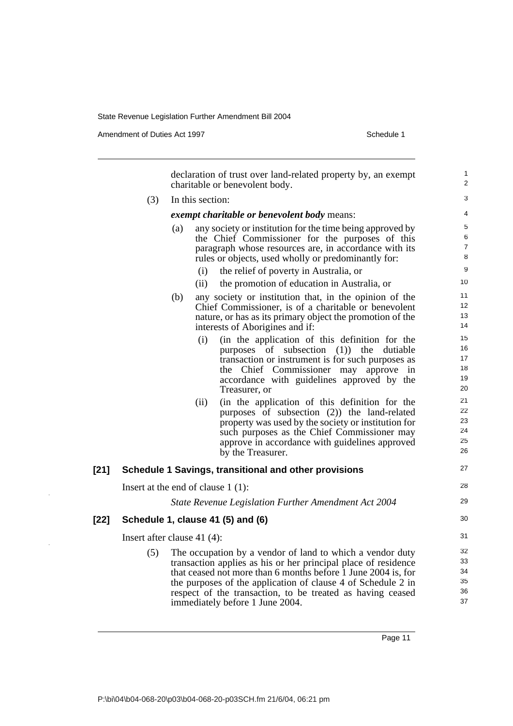Amendment of Duties Act 1997 Schedule 1

 $\ddot{\phantom{a}}$ 

 $\mathbf{r}$ 

|        |     |                                      | declaration of trust over land-related property by, an exempt<br>charitable or benevolent body.                                                                                                                                                                                                                                                               | 1<br>2                                   |
|--------|-----|--------------------------------------|---------------------------------------------------------------------------------------------------------------------------------------------------------------------------------------------------------------------------------------------------------------------------------------------------------------------------------------------------------------|------------------------------------------|
|        | (3) | In this section:                     |                                                                                                                                                                                                                                                                                                                                                               | 3                                        |
|        |     |                                      | <i>exempt charitable or benevolent body means:</i>                                                                                                                                                                                                                                                                                                            | 4                                        |
|        |     | (a)<br>(i)<br>(ii)                   | any society or institution for the time being approved by<br>the Chief Commissioner for the purposes of this<br>paragraph whose resources are, in accordance with its<br>rules or objects, used wholly or predominantly for:<br>the relief of poverty in Australia, or<br>the promotion of education in Australia, or                                         | 5<br>6<br>$\overline{7}$<br>8<br>9<br>10 |
|        |     | (b)                                  | any society or institution that, in the opinion of the<br>Chief Commissioner, is of a charitable or benevolent<br>nature, or has as its primary object the promotion of the<br>interests of Aborigines and if:                                                                                                                                                | 11<br>12<br>13<br>14                     |
|        |     | (i)                                  | (in the application of this definition for the<br>purposes of subsection (1)) the dutiable<br>transaction or instrument is for such purposes as<br>Chief Commissioner may approve<br>the<br>in<br>accordance with guidelines approved by the<br>Treasurer, or                                                                                                 | 15<br>16<br>17<br>18<br>19<br>20         |
|        |     | (ii)                                 | (in the application of this definition for the<br>purposes of subsection $(2)$ ) the land-related<br>property was used by the society or institution for<br>such purposes as the Chief Commissioner may<br>approve in accordance with guidelines approved<br>by the Treasurer.                                                                                | 21<br>22<br>23<br>24<br>25<br>26         |
| $[21]$ |     |                                      | Schedule 1 Savings, transitional and other provisions                                                                                                                                                                                                                                                                                                         | 27                                       |
|        |     | Insert at the end of clause $1(1)$ : |                                                                                                                                                                                                                                                                                                                                                               | 28                                       |
|        |     |                                      | State Revenue Legislation Further Amendment Act 2004                                                                                                                                                                                                                                                                                                          | 29                                       |
| $[22]$ |     |                                      | Schedule 1, clause 41 (5) and (6)                                                                                                                                                                                                                                                                                                                             | 30                                       |
|        |     | Insert after clause $41$ (4):        |                                                                                                                                                                                                                                                                                                                                                               | 31                                       |
|        | (5) |                                      | The occupation by a vendor of land to which a vendor duty<br>transaction applies as his or her principal place of residence<br>that ceased not more than 6 months before 1 June 2004 is, for<br>the purposes of the application of clause 4 of Schedule 2 in<br>respect of the transaction, to be treated as having ceased<br>immediately before 1 June 2004. | 32<br>33<br>34<br>35<br>36<br>37         |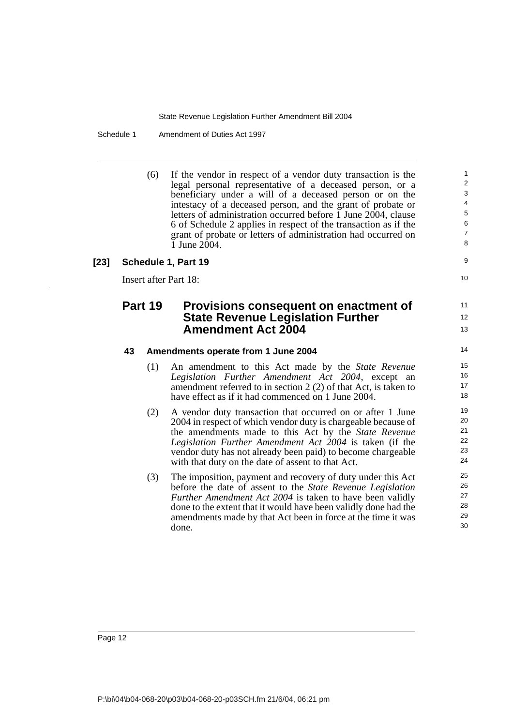Schedule 1 Amendment of Duties Act 1997

(6) If the vendor in respect of a vendor duty transaction is the legal personal representative of a deceased person, or a beneficiary under a will of a deceased person or on the intestacy of a deceased person, and the grant of probate or letters of administration occurred before 1 June 2004, clause 6 of Schedule 2 applies in respect of the transaction as if the grant of probate or letters of administration had occurred on 1 June 2004.

10

11 12 13

### **[23] Schedule 1, Part 19**

Insert after Part 18:

## **Part 19 Provisions consequent on enactment of State Revenue Legislation Further Amendment Act 2004**

#### **43 Amendments operate from 1 June 2004**

- (1) An amendment to this Act made by the *State Revenue Legislation Further Amendment Act 2004*, except an amendment referred to in section 2 (2) of that Act, is taken to have effect as if it had commenced on 1 June 2004.
- (2) A vendor duty transaction that occurred on or after 1 June 2004 in respect of which vendor duty is chargeable because of the amendments made to this Act by the *State Revenue Legislation Further Amendment Act 2004* is taken (if the vendor duty has not already been paid) to become chargeable with that duty on the date of assent to that Act.
- (3) The imposition, payment and recovery of duty under this Act before the date of assent to the *State Revenue Legislation Further Amendment Act 2004* is taken to have been validly done to the extent that it would have been validly done had the amendments made by that Act been in force at the time it was done.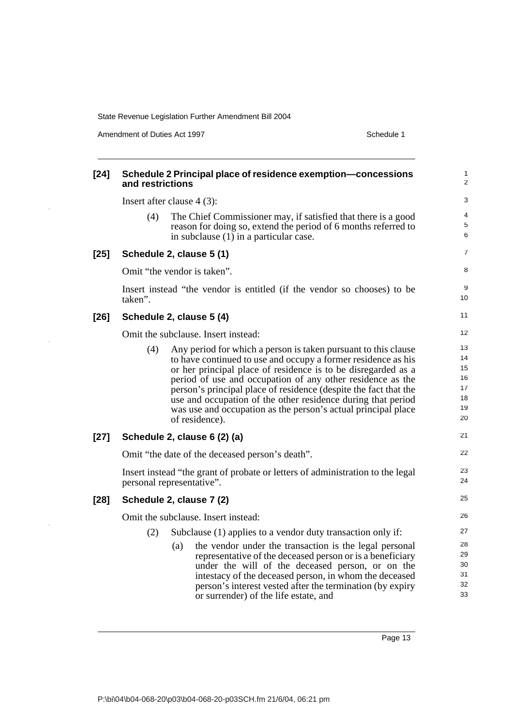Amendment of Duties Act 1997 Schedule 1

 $\frac{1}{2}$ 

 $\hat{\boldsymbol{\beta}}$ 

J.

| $[24]$ | Schedule 2 Principal place of residence exemption-concessions<br>and restrictions |                |                                                                                                                                                                                                                                                                                                                                                                                                                                                                     |                                              |  |
|--------|-----------------------------------------------------------------------------------|----------------|---------------------------------------------------------------------------------------------------------------------------------------------------------------------------------------------------------------------------------------------------------------------------------------------------------------------------------------------------------------------------------------------------------------------------------------------------------------------|----------------------------------------------|--|
|        | Insert after clause $4(3)$ :                                                      |                |                                                                                                                                                                                                                                                                                                                                                                                                                                                                     |                                              |  |
|        | (4)                                                                               |                | The Chief Commissioner may, if satisfied that there is a good<br>reason for doing so, extend the period of 6 months referred to<br>in subclause $(1)$ in a particular case.                                                                                                                                                                                                                                                                                         | 4<br>5<br>6                                  |  |
| $[25]$ | Schedule 2, clause 5 (1)                                                          |                |                                                                                                                                                                                                                                                                                                                                                                                                                                                                     | 7                                            |  |
|        | Omit "the vendor is taken".                                                       |                |                                                                                                                                                                                                                                                                                                                                                                                                                                                                     | 8                                            |  |
|        | taken".                                                                           |                | Insert instead "the vendor is entitled (if the vendor so chooses) to be                                                                                                                                                                                                                                                                                                                                                                                             | 9<br>10                                      |  |
| $[26]$ | Schedule 2, clause 5 (4)                                                          |                |                                                                                                                                                                                                                                                                                                                                                                                                                                                                     | 11                                           |  |
|        |                                                                                   |                | Omit the subclause. Insert instead:                                                                                                                                                                                                                                                                                                                                                                                                                                 | 12                                           |  |
|        | (4)                                                                               | of residence). | Any period for which a person is taken pursuant to this clause<br>to have continued to use and occupy a former residence as his<br>or her principal place of residence is to be disregarded as a<br>period of use and occupation of any other residence as the<br>person's principal place of residence (despite the fact that the<br>use and occupation of the other residence during that period<br>was use and occupation as the person's actual principal place | 13<br>14<br>15<br>16<br>17<br>18<br>19<br>20 |  |
| $[27]$ |                                                                                   |                | Schedule 2, clause 6 (2) (a)                                                                                                                                                                                                                                                                                                                                                                                                                                        | 21                                           |  |
|        |                                                                                   |                | Omit "the date of the deceased person's death".                                                                                                                                                                                                                                                                                                                                                                                                                     | 22                                           |  |
|        | personal representative".                                                         |                | Insert instead "the grant of probate or letters of administration to the legal                                                                                                                                                                                                                                                                                                                                                                                      | 23<br>24                                     |  |
| $[28]$ | Schedule 2, clause 7 (2)                                                          |                |                                                                                                                                                                                                                                                                                                                                                                                                                                                                     | 25                                           |  |
|        |                                                                                   |                | Omit the subclause. Insert instead:                                                                                                                                                                                                                                                                                                                                                                                                                                 | 26                                           |  |
|        | (2)                                                                               |                | Subclause (1) applies to a vendor duty transaction only if:                                                                                                                                                                                                                                                                                                                                                                                                         | 27                                           |  |
|        |                                                                                   | (a)            | the vendor under the transaction is the legal personal<br>representative of the deceased person or is a beneficiary<br>under the will of the deceased person, or on the<br>intestacy of the deceased person, in whom the deceased<br>person's interest vested after the termination (by expiry<br>or surrender) of the life estate, and                                                                                                                             | 28<br>29<br>30<br>31<br>32<br>33             |  |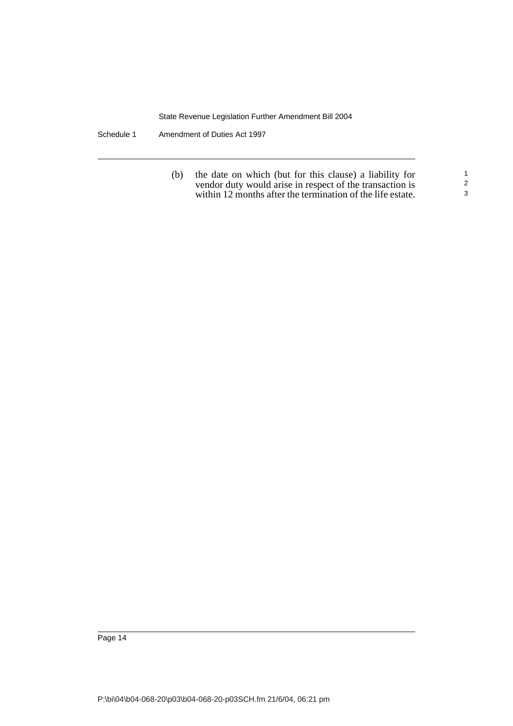Schedule 1 Amendment of Duties Act 1997

(b) the date on which (but for this clause) a liability for vendor duty would arise in respect of the transaction is within 12 months after the termination of the life estate. 1 2 3